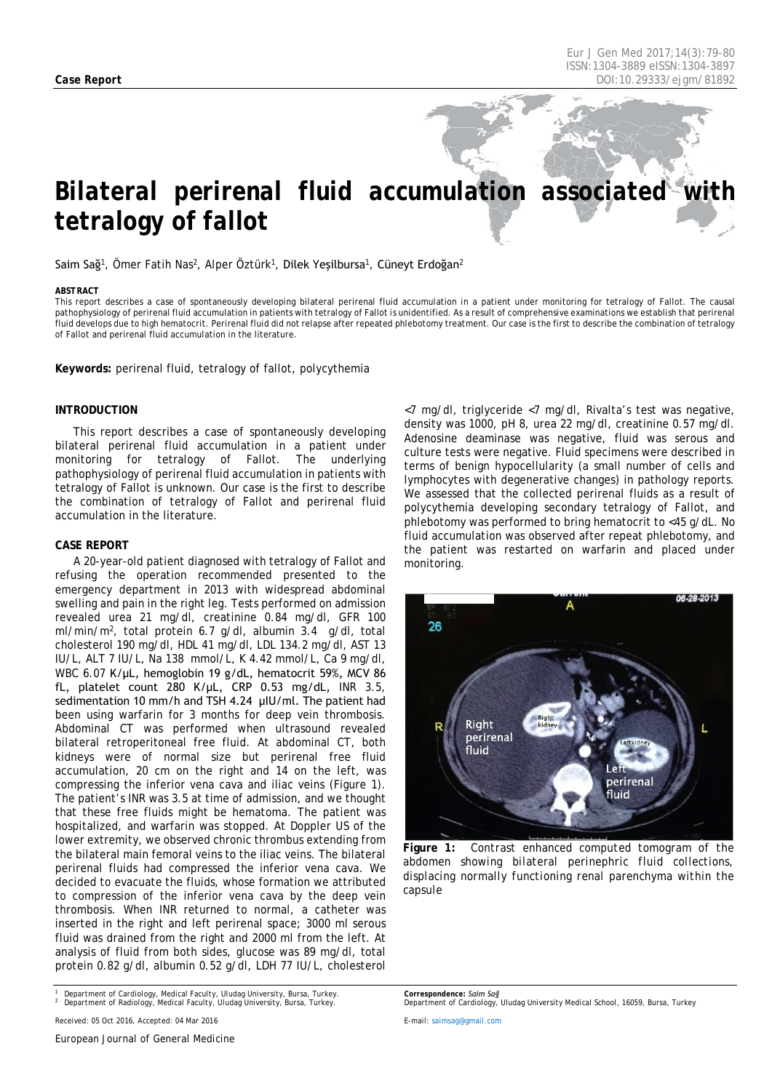# *Bilateral perirenal fluid accumulation associated with tetralogy of fallot*

Saim Sağ<sup>1</sup>, Ömer Fatih Nas<sup>2</sup>, Alper Öztürk<sup>1</sup>, Dilek Yeşilbursa<sup>1</sup>, Cüneyt Erdoğan<sup>2</sup>

#### <span id="page-0-0"></span>*ABSTRACT*

This report describes a case of spontaneously developing bilateral perirenal fluid accumulation in a patient under monitoring for tetralogy of Fallot. The causal pathophysiology of perirenal fluid accumulation in patients with tetralogy of Fallot is unidentified. As a result of comprehensive examinations we establish that perirenal fluid develops due to high hematocrit. Perirenal fluid did not relapse after repeated phlebotomy treatment. Our case is the first to describe the combination of tetralogy of Fallot and perirenal fluid accumulation in the literature.

**Keywords:** perirenal fluid, tetralogy of fallot, polycythemia

#### **INTRODUCTION**

This report describes a case of spontaneously developing bilateral perirenal fluid accumulation in a patient under monitoring for tetralogy of Fallot. The underlying pathophysiology of perirenal fluid accumulation in patients with tetralogy of Fallot is unknown. Our case is the first to describe the combination of tetralogy of Fallot and perirenal fluid accumulation in the literature.

### **CASE REPORT**

A 20-year-old patient diagnosed with tetralogy of Fallot and refusing the operation recommended presented to the emergency department in 2013 with widespread abdominal swelling and pain in the right leg. Tests performed on admission revealed urea 21 mg/dl, creatinine 0.84 mg/dl, GFR 100 ml/min/m2, total protein 6.7 g/dl, albumin 3.4 g/dl, total cholesterol 190 mg/dl, HDL 41 mg/dl, LDL 134.2 mg/dl, AST 13 IU/L, ALT 7 IU/L, Na 138 mmol/L, K 4.42 mmol/L, Ca 9 mg/dl, WBC 6.07 K/µL, hemoglobin 19 g/dL, hematocrit 59%, MCV 86 fL, platelet count 280 K/μL, CRP 0.53 mg/dL, INR 3.5, sedimentation 10 mm/h and TSH 4.24 μIU/ml. The patient had been using warfarin for 3 months for deep vein thrombosis. Abdominal CT was performed when ultrasound revealed bilateral retroperitoneal free fluid. At abdominal CT, both kidneys were of normal size but perirenal free fluid accumulation, 20 cm on the right and 14 on the left, was compressing the inferior vena cava and iliac veins (Figure 1). The patient's INR was 3.5 at time of admission, and we thought that these free fluids might be hematoma. The patient was hospitalized, and warfarin was stopped. At Doppler US of the lower extremity, we observed chronic thrombus extending from the bilateral main femoral veins to the iliac veins. The bilateral perirenal fluids had compressed the inferior vena cava. We decided to evacuate the fluids, whose formation we attributed to compression of the inferior vena cava by the deep vein thrombosis. When INR returned to normal, a catheter was inserted in the right and left perirenal space; 3000 ml serous fluid was drained from the right and 2000 ml from the left. At analysis of fluid from both sides, glucose was 89 mg/dl, total protein 0.82 g/dl, albumin 0.52 g/dl, LDH 77 IU/L, cholesterol

*<sup>1</sup> Department of Cardiology, Medical Faculty, Uludag University, Bursa, Turkey. <sup>2</sup> Department of Radiology, Medical Faculty, Uludag University, Bursa, Turkey.*

*Received: 05 Oct 2016, Accepted: 04 Mar 2016*

*European Journal of General Medicine*

<7 mg/dl, triglyceride <7 mg/dl, Rivalta's test was negative, density was 1000, pH 8, urea 22 mg/dl, creatinine 0.57 mg/dl. Adenosine deaminase was negative, fluid was serous and culture tests were negative. Fluid specimens were described in terms of benign hypocellularity (a small number of cells and lymphocytes with degenerative changes) in pathology reports. We assessed that the collected perirenal fluids as a result of polycythemia developing secondary tetralogy of Fallot, and phlebotomy was performed to bring hematocrit to <45 g/dL. No fluid accumulation was observed after repeat phlebotomy, and the patient was restarted on warfarin and placed under monitoring.



**Figure 1:** *Contrast enhanced computed tomogram of the abdomen showing bilateral perinephric fluid collections, displacing normally functioning renal parenchyma within the capsule*

*Correspondence: Saim Sağ Department of Cardiology, Uludag University Medical School, 16059, Bursa, Turkey*

*E-mail[: saimsag@gmail.com](mailto:saimsag@gmail.com)*